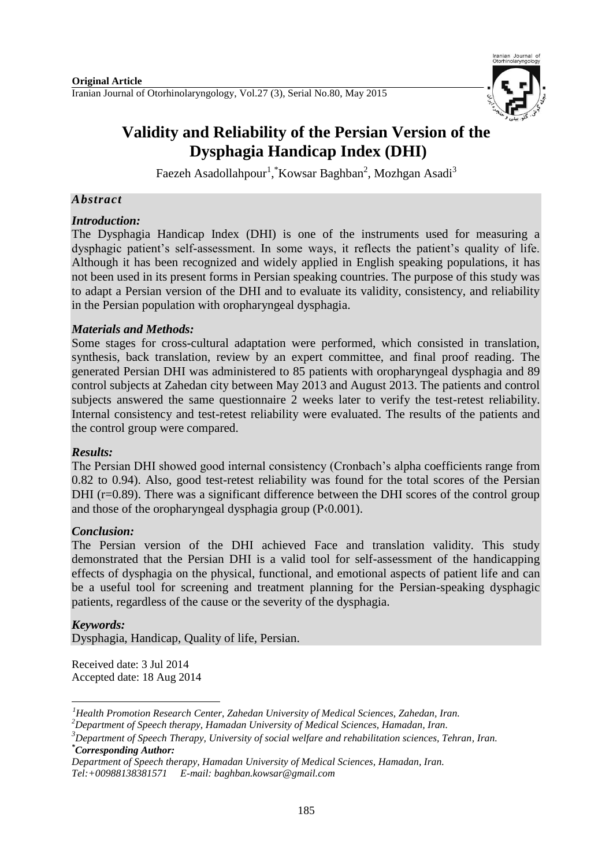

# **Validity and Reliability of the Persian Version of the Dysphagia Handicap Index (DHI)**

Faezeh Asadollahpour<sup>1</sup>, Kowsar Baghban<sup>2</sup>, Mozhgan Asadi<sup>3</sup>

## *Abstract*

## *Introduction:*

The Dysphagia Handicap Index (DHI) is one of the instruments used for measuring a dysphagic patient's self-assessment. In some ways, it reflects the patient's quality of life. Although it has been recognized and widely applied in English speaking populations, it has not been used in its present forms in Persian speaking countries. The purpose of this study was to adapt a Persian version of the DHI and to evaluate its validity, consistency, and reliability in the Persian population with oropharyngeal dysphagia.

## *Materials and Methods:*

Some stages for cross-cultural adaptation were performed, which consisted in translation, synthesis, back translation, review by an expert committee, and final proof reading. The generated Persian DHI was administered to 85 patients with oropharyngeal dysphagia and 89 control subjects at Zahedan city between May 2013 and August 2013. The patients and control subjects answered the same questionnaire 2 weeks later to verify the test-retest reliability. Internal consistency and test-retest reliability were evaluated. The results of the patients and the control group were compared.

### *Results:*

The Persian DHI showed good internal consistency (Cronbach's alpha coefficients range from 0.82 to 0.94). Also, good test-retest reliability was found for the total scores of the Persian DHI (r=0.89). There was a significant difference between the DHI scores of the control group and those of the oropharyngeal dysphagia group (P‹0.001).

## *Conclusion:*

The Persian version of the DHI achieved Face and translation validity. This study demonstrated that the Persian DHI is a valid tool for self-assessment of the handicapping effects of dysphagia on the physical, functional, and emotional aspects of patient life and can be a useful tool for screening and treatment planning for the Persian-speaking dysphagic patients, regardless of the cause or the severity of the dysphagia.

## *Keywords:*

Dysphagia, Handicap, Quality of life, Persian.

Received date: 3 Jul 2014 Accepted date: 18 Aug 2014

<sup>1</sup> *<sup>1</sup>Health Promotion Research Center, Zahedan University of Medical Sciences, Zahedan, Iran.* 

*<sup>2</sup>Department of Speech therapy, Hamadan University of Medical Sciences, Hamadan, Iran.*

*<sup>3</sup>Department of Speech Therapy, University of social welfare and rehabilitation sciences, Tehran, Iran. \*Corresponding Author:*

*Department of Speech therapy, Hamadan University of Medical Sciences, Hamadan, Iran. [Tel:+00988138381571](tel:+00988138381571) E-mail: baghban.kowsar@gmail.com*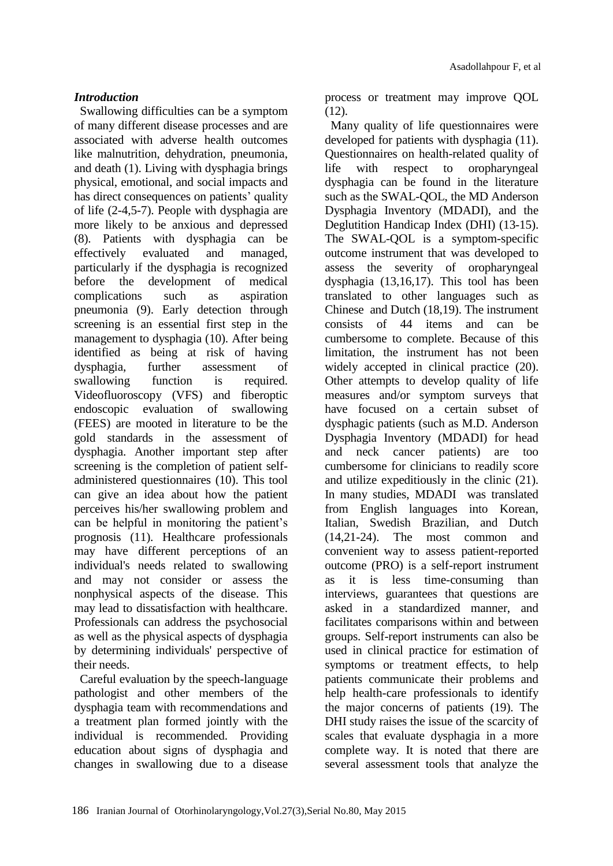## *Introduction*

Swallowing difficulties can be a symptom of many different disease processes and are associated with adverse health outcomes like malnutrition, dehydration, pneumonia, and death [\(1\)](#page-5-0). Living with dysphagia brings physical, emotional, and social impacts and has direct consequences on patients' quality of life (2-4[,5-7\)](#page-5-1). People with dysphagia are more likely to be anxious and depressed [\(8\)](#page-5-2). Patients with dysphagia can be effectively evaluated and managed, particularly if the dysphagia is recognized before the development of medical complications such as aspiration pneumonia [\(9\)](#page-5-3). Early detection through screening is an essential first step in the management to dysphagia [\(10\)](#page-5-4). After being identified as being at risk of having dysphagia, further assessment of swallowing function is required. Videofluoroscopy (VFS) and fiberoptic endoscopic evaluation of swallowing (FEES) are mooted in literature to be the gold standards in the assessment of dysphagia. Another important step after screening is the completion of patient selfadministered questionnaires [\(10\)](#page-5-4). This tool can give an idea about how the patient perceives his/her swallowing problem and can be helpful in monitoring the patient's prognosis [\(11\)](#page-5-5). Healthcare professionals may have different perceptions of an individual's needs related to swallowing and may not consider or assess the nonphysical aspects of the disease. This may lead to dissatisfaction with healthcare. Professionals can address the psychosocial as well as the physical aspects of dysphagia by determining individuals' perspective of their needs.

Careful evaluation by the speech-language pathologist and other members of the dysphagia team with recommendations and a treatment plan formed jointly with the individual is recommended. Providing education about signs of dysphagia and changes in swallowing due to a disease

process or treatment may improve QOL [\(12\)](#page-6-0).

Many quality of life questionnaires were developed for patients with dysphagia [\(11\)](#page-5-5). Questionnaires on health-related quality of life with respect to oropharyngeal dysphagia can be found in the literature such as the SWAL-QOL, the MD Anderson Dysphagia Inventory (MDADI), and the Deglutition Handicap Index (DHI) (13[-15\)](#page-6-1). The SWAL-QOL is a symptom-specific outcome instrument that was developed to assess the severity of oropharyngeal dysphagia [\(13,](#page-6-2)[16,](#page-6-3)[17\)](#page-6-4). This tool has been translated to other languages such as Chinese and Dutch (18,19). The instrument consists of 44 items and can be cumbersome to complete. Because of this limitation, the instrument has not been widely accepted in clinical practice  $(20)$ . Other attempts to develop quality of life measures and/or symptom surveys that have focused on a certain subset of dysphagic patients (such as M.D. Anderson Dysphagia Inventory (MDADI) for head and neck cancer patients) are too cumbersome for clinicians to readily score and utilize expeditiously in the clinic [\(21\)](#page-6-6). In many studies, MDADI was translated from English languages into Korean, Italian, Swedish Brazilian, and Dutch [\(14,](#page-6-7)21-24). The most common and convenient way to assess patient-reported outcome (PRO) is a self-report instrument as it is less time-consuming than interviews, guarantees that questions are asked in a standardized manner, and facilitates comparisons within and between groups. Self-report instruments can also be used in clinical practice for estimation of symptoms or treatment effects, to help patients communicate their problems and help health-care professionals to identify the major concerns of patients (19). The DHI study raises the issue of the scarcity of scales that evaluate dysphagia in a more complete way. It is noted that there are several assessment tools that analyze the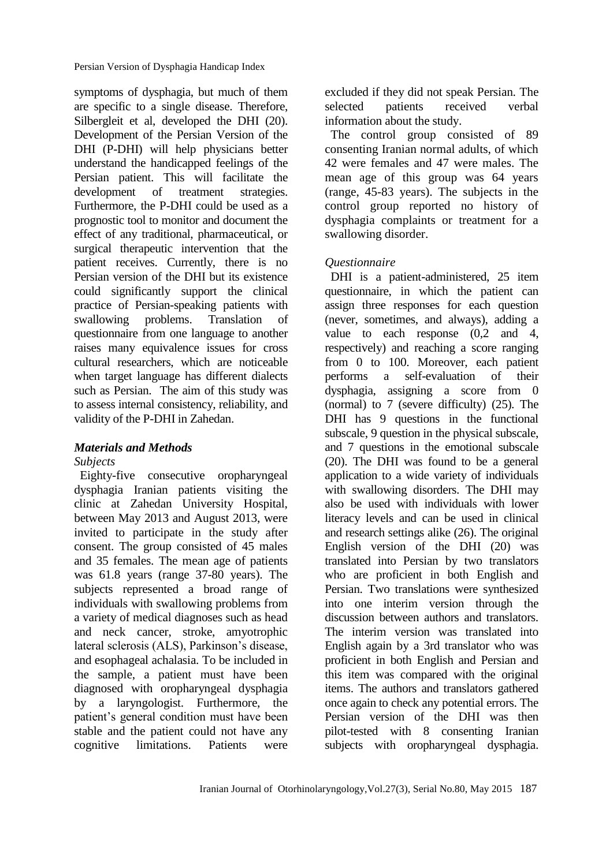symptoms of dysphagia, but much of them are specific to a single disease. Therefore, Silbergleit et al, developed the DHI (20). Development of the Persian Version of the DHI (P-DHI) will help physicians better understand the handicapped feelings of the Persian patient. This will facilitate the development of treatment strategies. Furthermore, the P-DHI could be used as a prognostic tool to monitor and document the effect of any traditional, pharmaceutical, or surgical therapeutic intervention that the patient receives. Currently, there is no Persian version of the DHI but its existence could significantly support the clinical practice of Persian-speaking patients with swallowing problems. Translation of questionnaire from one language to another raises many equivalence issues for cross cultural researchers, which are noticeable when target language has different dialects such as Persian. The aim of this study was to assess internal consistency, reliability, and validity of the P-DHI in Zahedan.

## *Materials and Methods*

### *Subjects*

Eighty-five consecutive oropharyngeal dysphagia Iranian patients visiting the clinic at Zahedan University Hospital, between May 2013 and August 2013, were invited to participate in the study after consent. The group consisted of 45 males and 35 females. The mean age of patients was 61.8 years (range 37-80 years). The subjects represented a broad range of individuals with swallowing problems from a variety of medical diagnoses such as head and neck cancer, stroke, amyotrophic lateral sclerosis (ALS), Parkinson's disease, and esophageal achalasia. To be included in the sample, a patient must have been diagnosed with oropharyngeal dysphagia by a laryngologist. Furthermore, the patient's general condition must have been stable and the patient could not have any cognitive limitations. Patients were

excluded if they did not speak Persian. The selected patients received verbal information about the study.

The control group consisted of 89 consenting Iranian normal adults, of which 42 were females and 47 were males. The mean age of this group was 64 years (range, 45-83 years). The subjects in the control group reported no history of dysphagia complaints or treatment for a swallowing disorder.

## *Questionnaire*

DHI is a patient-administered, 25 item questionnaire, in which the patient can assign three responses for each question (never, sometimes, and always), adding a value to each response (0,2 and 4, respectively) and reaching a score ranging from 0 to 100. Moreover, each patient performs a self-evaluation of their dysphagia, assigning a score from 0 (normal) to 7 (severe difficulty) [\(25\)](#page-6-8). The DHI has 9 questions in the functional subscale, 9 question in the physical subscale, and 7 questions in the emotional subscale [\(20\)](#page-6-5). The DHI was found to be a general application to a wide variety of individuals with swallowing disorders. The DHI may also be used with individuals with lower literacy levels and can be used in clinical and research settings alike [\(26\)](#page-6-9). The original English version of the DHI [\(20\)](#page-6-5) was translated into Persian by two translators who are proficient in both English and Persian. Two translations were synthesized into one interim version through the discussion between authors and translators. The interim version was translated into English again by a 3rd translator who was proficient in both English and Persian and this item was compared with the original items. The authors and translators gathered once again to check any potential errors. The Persian version of the DHI was then pilot-tested with 8 consenting Iranian subjects with oropharyngeal dysphagia.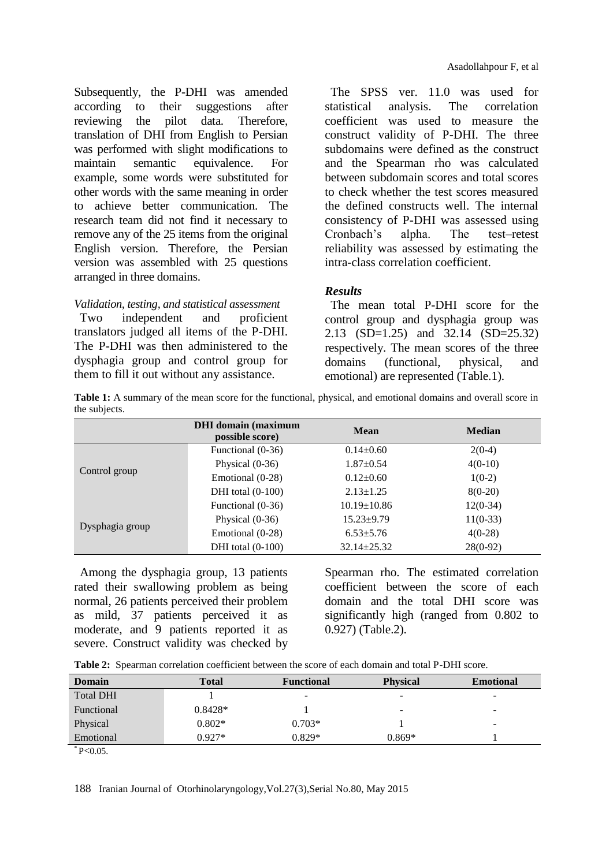Subsequently, the P-DHI was amended according to their suggestions after reviewing the pilot data. Therefore, translation of DHI from English to Persian was performed with slight modifications to maintain semantic equivalence. For example, some words were substituted for other words with the same meaning in order to achieve better communication. The research team did not find it necessary to remove any of the 25 items from the original English version. Therefore, the Persian version was assembled with 25 questions arranged in three domains.

#### *Validation, testing, and statistical assessment*

Two independent and proficient translators judged all items of the P-DHI. The P-DHI was then administered to the dysphagia group and control group for them to fill it out without any assistance.

The SPSS ver. 11.0 was used for statistical analysis. The correlation coefficient was used to measure the construct validity of P-DHI. The three subdomains were defined as the construct and the Spearman rho was calculated between subdomain scores and total scores to check whether the test scores measured the defined constructs well. The internal consistency of P-DHI was assessed using Cronbach's alpha. The test–retest reliability was assessed by estimating the intra-class correlation coefficient.

## *Results*

The mean total P-DHI score for the control group and dysphagia group was 2.13 (SD=1.25) and 32.14 (SD=25.32) respectively. The mean scores of the three domains (functional, physical, and emotional) are represented (Table.1).

**Table 1:** A summary of the mean score for the functional, physical, and emotional domains and overall score in the subjects.

|                 | <b>DHI</b> domain (maximum<br>possible score) | <b>Mean</b>       | <b>Median</b> |
|-----------------|-----------------------------------------------|-------------------|---------------|
|                 | Functional (0-36)                             | $0.14 \pm 0.60$   | $2(0-4)$      |
| Control group   | Physical $(0-36)$                             | $1.87 \pm 0.54$   | $4(0-10)$     |
|                 | Emotional (0-28)                              | $0.12 \pm 0.60$   | $1(0-2)$      |
|                 | DHI total $(0-100)$                           | $2.13 \pm 1.25$   | $8(0-20)$     |
|                 | Functional (0-36)                             | $10.19 \pm 10.86$ | $12(0-34)$    |
| Dysphagia group | Physical $(0-36)$                             | $15.23 \pm 9.79$  | $11(0-33)$    |
|                 | Emotional (0-28)                              | $6.53 \pm 5.76$   | $4(0-28)$     |
|                 | DHI total $(0-100)$                           | $32.14 \pm 25.32$ | $28(0-92)$    |

Among the dysphagia group, 13 patients rated their swallowing problem as being normal, 26 patients perceived their problem as mild, 37 patients perceived it as moderate, and 9 patients reported it as severe. Construct validity was checked by Spearman rho. The estimated correlation coefficient between the score of each domain and the total DHI score was significantly high (ranged from 0.802 to 0.927) (Table.2).

|  |  | <b>Table 2:</b> Spearman correlation coefficient between the score of each domain and total P-DHI score. |  |  |  |  |  |  |  |  |  |
|--|--|----------------------------------------------------------------------------------------------------------|--|--|--|--|--|--|--|--|--|
|--|--|----------------------------------------------------------------------------------------------------------|--|--|--|--|--|--|--|--|--|

| <b>Domain</b>    | Total     | <b>Functional</b> | <b>Physical</b>          | <b>Emotional</b> |
|------------------|-----------|-------------------|--------------------------|------------------|
| <b>Total DHI</b> |           | -                 | $\overline{\phantom{m}}$ | -                |
| Functional       | $0.8428*$ |                   | $\overline{\phantom{0}}$ | -                |
| Physical         | $0.802*$  | $0.703*$          |                          | -                |
| Emotional        | $0.927*$  | $0.829*$          | $0.869*$                 |                  |
|                  |           |                   |                          |                  |

 $*$  P<0.05.

188 Iranian Journal of Otorhinolaryngology,Vol.27(3),Serial No.80, May 2015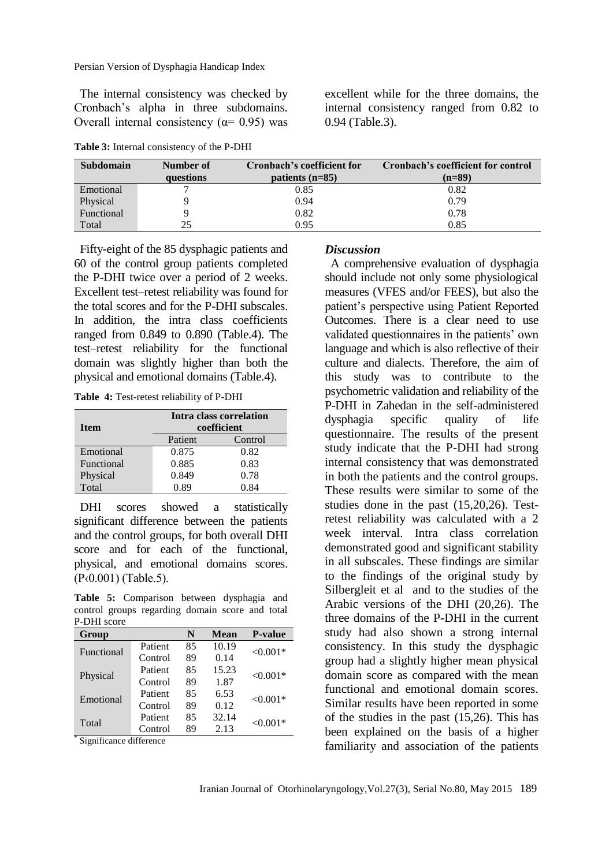Persian Version of Dysphagia Handicap Index

The internal consistency was checked by Cronbach's alpha in three subdomains. Overall internal consistency ( $α= 0.95$ ) was

**Table 3:** Internal consistency of the P-DHI

excellent while for the three domains, the internal consistency ranged from 0.82 to 0.94 (Table.3).

| <b>Subdomain</b> | Number of | Cronbach's coefficient for | Cronbach's coefficient for control |
|------------------|-----------|----------------------------|------------------------------------|
|                  | questions | patients $(n=85)$          | $(n=89)$                           |
| Emotional        |           | 0.85                       | 0.82                               |
| Physical         |           | 0.94                       | 0.79                               |
| Functional       |           | 0.82                       | 0.78                               |
| Total            | 25        | 0.95                       | 0.85                               |

Fifty-eight of the 85 dysphagic patients and 60 of the control group patients completed the P-DHI twice over a period of 2 weeks. Excellent test–retest reliability was found for the total scores and for the P-DHI subscales. In addition, the intra class coefficients ranged from 0.849 to 0.890 (Table.4). The test–retest reliability for the functional domain was slightly higher than both the physical and emotional domains (Table.4).

**Table 4:** Test-retest reliability of P-DHI

| <b>Item</b> | Intra class correlation<br>coefficient |         |  |  |
|-------------|----------------------------------------|---------|--|--|
|             | Patient                                | Control |  |  |
| Emotional   | 0.875                                  | 0.82    |  |  |
| Functional  | 0.885                                  | 0.83    |  |  |
| Physical    | 0.849                                  | 0.78    |  |  |
| Total       | 0.89                                   | O 84    |  |  |

DHI scores showed a statistically significant difference between the patients and the control groups, for both overall DHI score and for each of the functional, physical, and emotional domains scores. (P‹0.001) (Table.5).

**Table 5:** Comparison between dysphagia and control groups regarding domain score and total P-DHI score

| Group      |         | N  | <b>Mean</b> | <b>P-value</b> |
|------------|---------|----|-------------|----------------|
| Functional | Patient | 85 | 10.19       | $< 0.001*$     |
|            | Control | 89 | 0.14        |                |
| Physical   | Patient | 85 | 15.23       | $< 0.001*$     |
|            | Control | 89 | 1.87        |                |
| Emotional  | Patient | 85 | 6.53        | $< 0.001*$     |
|            | Control | 89 | 0.12        |                |
| Total<br>∗ | Patient | 85 | 32.14       | $< 0.001*$     |
|            | Control | 89 | 2.13        |                |

Significance difference

#### *Discussion*

A comprehensive evaluation of dysphagia should include not only some physiological measures (VFES and/or FEES), but also the patient's perspective using Patient Reported Outcomes. There is a clear need to use validated questionnaires in the patients' own language and which is also reflective of their culture and dialects. Therefore, the aim of this study was to contribute to the psychometric validation and reliability of the P-DHI in Zahedan in the self-administered dysphagia specific quality of life questionnaire. The results of the present study indicate that the P-DHI had strong internal consistency that was demonstrated in both the patients and the control groups. These results were similar to some of the studies done in the past [\(15](#page-6-1)[,20](#page-6-5)[,26\)](#page-6-9). Testretest reliability was calculated with a 2 week interval. Intra class correlation demonstrated good and significant stability in all subscales. These findings are similar to the findings of the original study by Silbergleit et al and to the studies of the Arabic versions of the DHI [\(20,](#page-6-5)26). The three domains of the P-DHI in the current study had also shown a strong internal consistency. In this study the dysphagic group had a slightly higher mean physical domain score as compared with the mean functional and emotional domain scores. Similar results have been reported in some of the studies in the past [\(15](#page-6-1)[,26\)](#page-6-9). This has been explained on the basis of a higher familiarity and association of the patients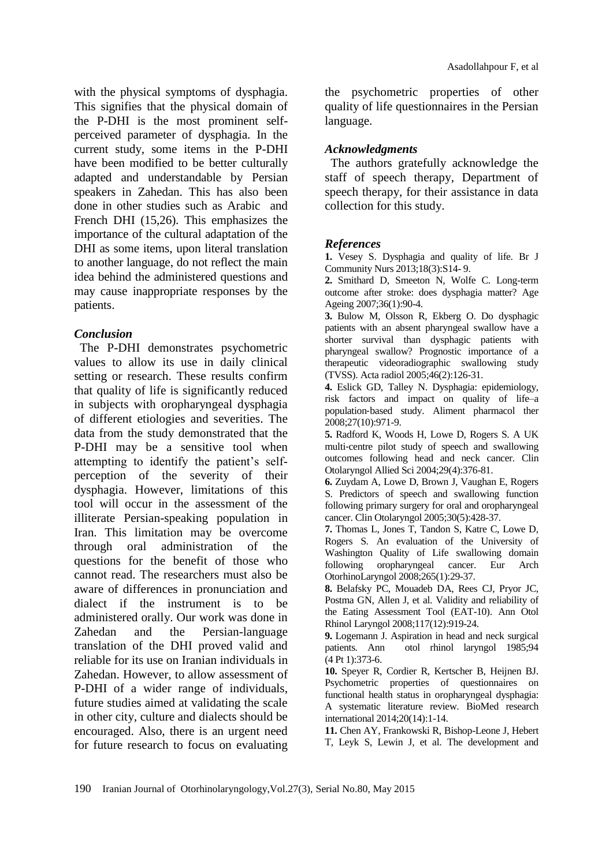with the physical symptoms of dysphagia. This signifies that the physical domain of the P-DHI is the most prominent selfperceived parameter of dysphagia. In the current study, some items in the P-DHI have been modified to be better culturally adapted and understandable by Persian speakers in Zahedan. This has also been done in other studies such as Arabic and French DHI [\(15,](#page-6-1)[26\)](#page-6-9). This emphasizes the importance of the cultural adaptation of the DHI as some items, upon literal translation to another language, do not reflect the main idea behind the administered questions and may cause inappropriate responses by the patients.

#### *Conclusion*

The P-DHI demonstrates psychometric values to allow its use in daily clinical setting or research. These results confirm that quality of life is significantly reduced in subjects with oropharyngeal dysphagia of different etiologies and severities. The data from the study demonstrated that the P-DHI may be a sensitive tool when attempting to identify the patient's selfperception of the severity of their dysphagia. However, limitations of this tool will occur in the assessment of the illiterate Persian-speaking population in Iran. This limitation may be overcome through oral administration of the questions for the benefit of those who cannot read. The researchers must also be aware of differences in pronunciation and dialect if the instrument is to be administered orally. Our work was done in Zahedan and the Persian-language translation of the DHI proved valid and reliable for its use on Iranian individuals in Zahedan. However, to allow assessment of P-DHI of a wider range of individuals, future studies aimed at validating the scale in other city, culture and dialects should be encouraged. Also, there is an urgent need for future research to focus on evaluating the psychometric properties of other quality of life questionnaires in the Persian language.

### *Acknowledgments*

The authors gratefully acknowledge the staff of speech therapy, Department of speech therapy, for their assistance in data collection for this study.

#### *References*

<span id="page-5-0"></span>**1.** Vesey S. Dysphagia and quality of life. Br J Community Nurs 2013;18(3):S14- 9.

**2.** Smithard D, Smeeton N, Wolfe C. Long-term outcome after stroke: does dysphagia matter? Age Ageing 2007;36(1):90-4.

**3.** Bulow M, Olsson R, Ekberg O. Do dysphagic patients with an absent pharyngeal swallow have a shorter survival than dysphagic patients with pharyngeal swallow? Prognostic importance of a therapeutic videoradiographic swallowing study (TVSS). Acta radiol 2005;46(2):126-31.

**4.** Eslick GD, Talley N. Dysphagia: epidemiology, risk factors and impact on quality of life–a population‐based study. Aliment pharmacol ther 2008;27(10):971-9.

<span id="page-5-1"></span>**5.** Radford K, Woods H, Lowe D, Rogers S. A UK multi-centre pilot study of speech and swallowing outcomes following head and neck cancer. Clin Otolaryngol Allied Sci 2004;29(4):376-81.

**6.** Zuydam A, Lowe D, Brown J, Vaughan E, Rogers S. Predictors of speech and swallowing function following primary surgery for oral and oropharyngeal cancer. Clin Otolaryngol 2005;30(5):428-37.

**7.** Thomas L, Jones T, Tandon S, Katre C, Lowe D, Rogers S. An evaluation of the University of Washington Quality of Life swallowing domain following oropharyngeal cancer. Eur Arch OtorhinoLaryngol 2008;265(1):29-37.

<span id="page-5-2"></span>**8.** Belafsky PC, Mouadeb DA, Rees CJ, Pryor JC, Postma GN, Allen J, et al. Validity and reliability of the Eating Assessment Tool (EAT-10). Ann Otol Rhinol Laryngol 2008;117(12):919-24.

<span id="page-5-3"></span>**9.** Logemann J. Aspiration in head and neck surgical patients. Ann otol rhinol laryngol 1985;94 (4 Pt 1):373-6.

<span id="page-5-4"></span>**10.** Speyer R, Cordier R, Kertscher B, Heijnen BJ. Psychometric properties of questionnaires on functional health status in oropharyngeal dysphagia: A systematic literature review. BioMed research international 2014;20(14):1-14.

<span id="page-5-5"></span>**11.** Chen AY, Frankowski R, Bishop-Leone J, Hebert T, Leyk S, Lewin J, et al. The development and